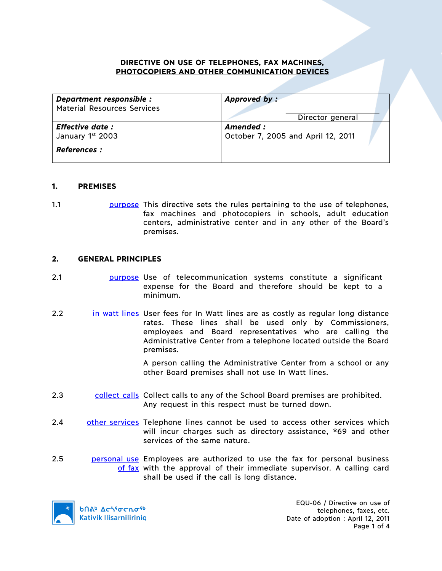### **DIRECTIVE ON USE OF TELEPHONES, FAX MACHINES, PHOTOCOPIERS AND OTHER COMMUNICATION DEVICES**

| Department responsible :           | Approved by:                       |
|------------------------------------|------------------------------------|
| <b>Material Resources Services</b> | Director general                   |
| <b>Effective date:</b>             | Amended :                          |
| January 1st 2003                   | October 7, 2005 and April 12, 2011 |
| <b>References :</b>                |                                    |

### **1. PREMISES**

1.1 purpose This directive sets the rules pertaining to the use of telephones, fax machines and photocopiers in schools, adult education centers, administrative center and in any other of the Board's premises.

### **2. GENERAL PRINCIPLES**

- 2.1 purpose Use of telecommunication systems constitute a significant expense for the Board and therefore should be kept to a minimum.
- 2.2 in watt lines User fees for In Watt lines are as costly as regular long distance rates. These lines shall be used only by Commissioners, employees and Board representatives who are calling the Administrative Center from a telephone located outside the Board premises.

A person calling the Administrative Center from a school or any other Board premises shall not use In Watt lines.

- 2.3 collect calls Collect calls to any of the School Board premises are prohibited. Any request in this respect must be turned down.
- 2.4 other services Telephone lines cannot be used to access other services which will incur charges such as directory assistance, \*69 and other services of the same nature.
- 2.5 **personal use** Employees are authorized to use the fax for personal business of fax with the approval of their immediate supervisor. A calling card shall be used if the call is long distance.

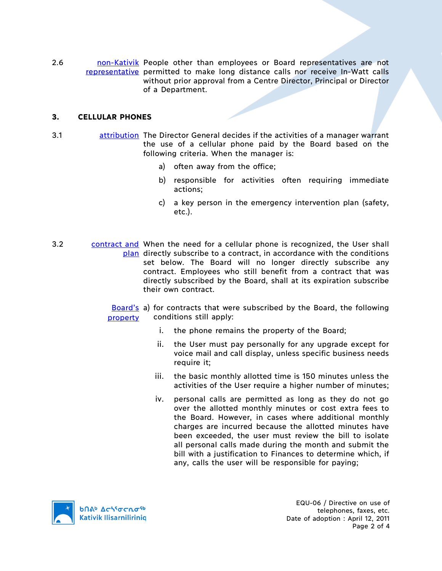2.6 **non-Kativik People other than employees or Board representatives are not** representative permitted to make long distance calls nor receive In-Watt calls without prior approval from a Centre Director, Principal or Director of a Department.

# **3. CELLULAR PHONES**

- 3.1 attribution The Director General decides if the activities of a manager warrant the use of a cellular phone paid by the Board based on the following criteria. When the manager is:
	- a) often away from the office;
	- b) responsible for activities often requiring immediate actions;
	- c) a key person in the emergency intervention plan (safety, etc.).
- 3.2 contract and When the need for a cellular phone is recognized, the User shall plan directly subscribe to a contract, in accordance with the conditions set below. The Board will no longer directly subscribe any contract. Employees who still benefit from a contract that was directly subscribed by the Board, shall at its expiration subscribe their own contract.

Board's a) for contracts that were subscribed by the Board, the following property conditions still apply:

- i. the phone remains the property of the Board;
- ii. the User must pay personally for any upgrade except for voice mail and call display, unless specific business needs require it;
- iii. the basic monthly allotted time is 150 minutes unless the activities of the User require a higher number of minutes;
- iv. personal calls are permitted as long as they do not go over the allotted monthly minutes or cost extra fees to the Board. However, in cases where additional monthly charges are incurred because the allotted minutes have been exceeded, the user must review the bill to isolate all personal calls made during the month and submit the bill with a justification to Finances to determine which, if any, calls the user will be responsible for paying;



EQU-06 / Directive on use of telephones, faxes, etc. Date of adoption : April 12, 2011 Page 2 of 4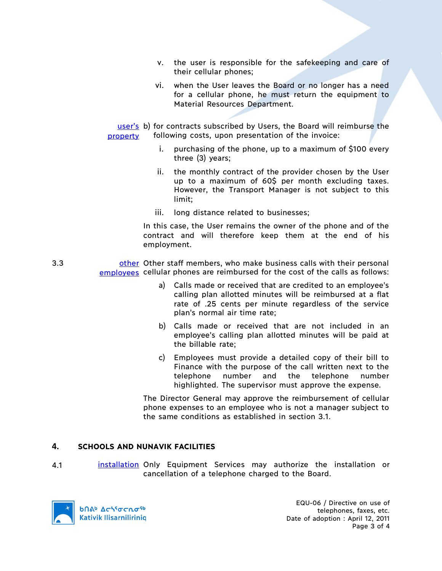- v. the user is responsible for the safekeeping and care of their cellular phones;
- vi. when the User leaves the Board or no longer has a need for a cellular phone, he must return the equipment to Material Resources Department.

user's b) for contracts subscribed by Users, the Board will reimburse the property following costs, upon presentation of the invoice:

- i. purchasing of the phone, up to a maximum of \$100 every three (3) years;
- ii. the monthly contract of the provider chosen by the User up to a maximum of 60\$ per month excluding taxes. However, the Transport Manager is not subject to this limit;
- iii. long distance related to businesses;

In this case, the User remains the owner of the phone and of the contract and will therefore keep them at the end of his employment.

- 3.3 **business of the stame of the staff members, who make business calls with their personal** employees cellular phones are reimbursed for the cost of the calls as follows:
	- a) Calls made or received that are credited to an employee's calling plan allotted minutes will be reimbursed at a flat rate of .25 cents per minute regardless of the service plan's normal air time rate;
	- b) Calls made or received that are not included in an employee's calling plan allotted minutes will be paid at the billable rate;
	- c) Employees must provide a detailed copy of their bill to Finance with the purpose of the call written next to the telephone number and the telephone number highlighted. The supervisor must approve the expense.

The Director General may approve the reimbursement of cellular phone expenses to an employee who is not a manager subject to the same conditions as established in section 3.1.

### **4. SCHOOLS AND NUNAVIK FACILITIES**

4.1 **installation** Only Equipment Services may authorize the installation or cancellation of a telephone charged to the Board.



EQU-06 / Directive on use of telephones, faxes, etc. Date of adoption : April 12, 2011 Page 3 of 4